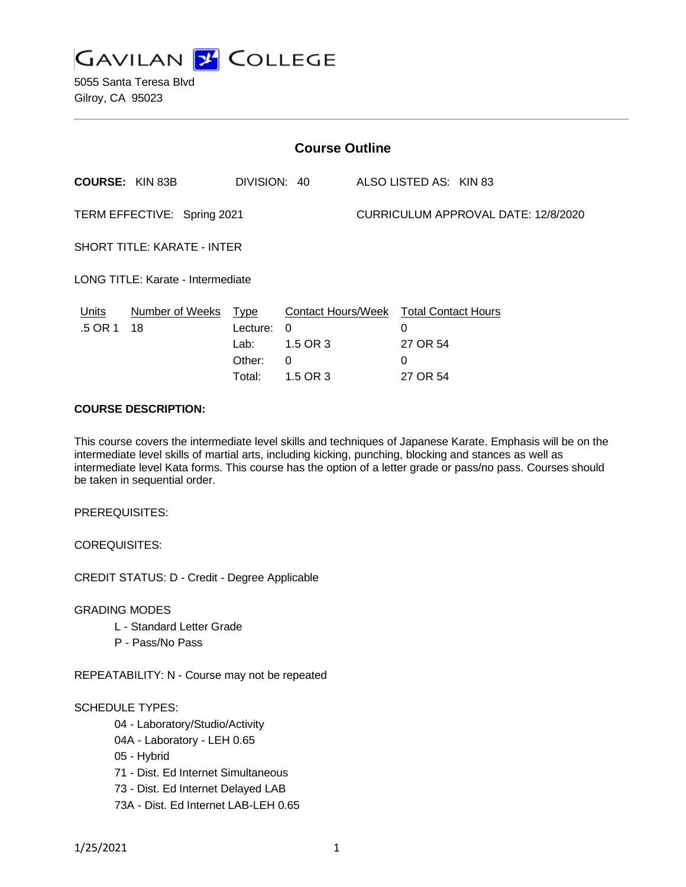

5055 Santa Teresa Blvd Gilroy, CA 95023

| <b>Course Outline</b>              |                        |                                           |                                                                     |  |                                     |  |  |
|------------------------------------|------------------------|-------------------------------------------|---------------------------------------------------------------------|--|-------------------------------------|--|--|
|                                    | <b>COURSE: KIN 83B</b> | DIVISION: 40                              |                                                                     |  | ALSO LISTED AS: KIN 83              |  |  |
| TERM EFFECTIVE: Spring 2021        |                        |                                           |                                                                     |  | CURRICULUM APPROVAL DATE: 12/8/2020 |  |  |
| <b>SHORT TITLE: KARATE - INTER</b> |                        |                                           |                                                                     |  |                                     |  |  |
| LONG TITLE: Karate - Intermediate  |                        |                                           |                                                                     |  |                                     |  |  |
| Units<br>.5 OR 1                   | Number of Weeks<br>18  | <u>Type</u><br>Lecture:<br>Lab:<br>Other: | <b>Contact Hours/Week Total Contact Hours</b><br>0<br>1.5 OR 3<br>0 |  | 0<br>27 OR 54<br>0                  |  |  |
|                                    |                        | Total:                                    | 1.5 OR 3                                                            |  | 27 OR 54                            |  |  |

## **COURSE DESCRIPTION:**

This course covers the intermediate level skills and techniques of Japanese Karate. Emphasis will be on the intermediate level skills of martial arts, including kicking, punching, blocking and stances as well as intermediate level Kata forms. This course has the option of a letter grade or pass/no pass. Courses should be taken in sequential order.

PREREQUISITES:

COREQUISITES:

CREDIT STATUS: D - Credit - Degree Applicable

GRADING MODES

- L Standard Letter Grade
- P Pass/No Pass

REPEATABILITY: N - Course may not be repeated

SCHEDULE TYPES:

- 04 Laboratory/Studio/Activity
- 04A Laboratory LEH 0.65
- 05 Hybrid
- 71 Dist. Ed Internet Simultaneous
- 73 Dist. Ed Internet Delayed LAB
- 73A Dist. Ed Internet LAB-LEH 0.65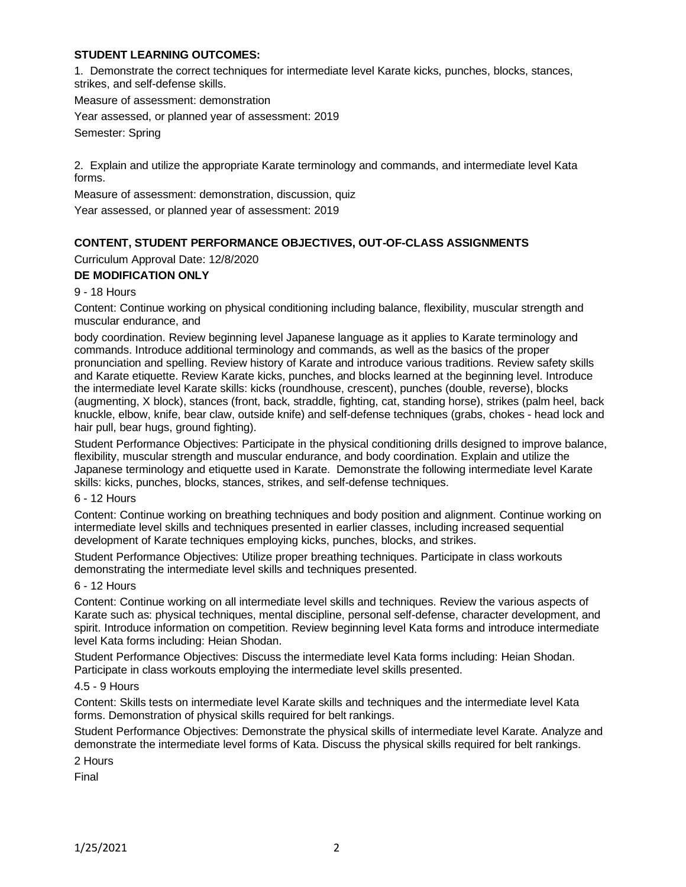# **STUDENT LEARNING OUTCOMES:**

1. Demonstrate the correct techniques for intermediate level Karate kicks, punches, blocks, stances, strikes, and self-defense skills.

Measure of assessment: demonstration

Year assessed, or planned year of assessment: 2019

Semester: Spring

2. Explain and utilize the appropriate Karate terminology and commands, and intermediate level Kata forms.

Measure of assessment: demonstration, discussion, quiz

Year assessed, or planned year of assessment: 2019

# **CONTENT, STUDENT PERFORMANCE OBJECTIVES, OUT-OF-CLASS ASSIGNMENTS**

Curriculum Approval Date: 12/8/2020

# **DE MODIFICATION ONLY**

9 - 18 Hours

Content: Continue working on physical conditioning including balance, flexibility, muscular strength and muscular endurance, and

body coordination. Review beginning level Japanese language as it applies to Karate terminology and commands. Introduce additional terminology and commands, as well as the basics of the proper pronunciation and spelling. Review history of Karate and introduce various traditions. Review safety skills and Karate etiquette. Review Karate kicks, punches, and blocks learned at the beginning level. Introduce the intermediate level Karate skills: kicks (roundhouse, crescent), punches (double, reverse), blocks (augmenting, X block), stances (front, back, straddle, fighting, cat, standing horse), strikes (palm heel, back knuckle, elbow, knife, bear claw, outside knife) and self-defense techniques (grabs, chokes - head lock and hair pull, bear hugs, ground fighting).

Student Performance Objectives: Participate in the physical conditioning drills designed to improve balance, flexibility, muscular strength and muscular endurance, and body coordination. Explain and utilize the Japanese terminology and etiquette used in Karate. Demonstrate the following intermediate level Karate skills: kicks, punches, blocks, stances, strikes, and self-defense techniques.

### 6 - 12 Hours

Content: Continue working on breathing techniques and body position and alignment. Continue working on intermediate level skills and techniques presented in earlier classes, including increased sequential development of Karate techniques employing kicks, punches, blocks, and strikes.

Student Performance Objectives: Utilize proper breathing techniques. Participate in class workouts demonstrating the intermediate level skills and techniques presented.

## 6 - 12 Hours

Content: Continue working on all intermediate level skills and techniques. Review the various aspects of Karate such as: physical techniques, mental discipline, personal self-defense, character development, and spirit. Introduce information on competition. Review beginning level Kata forms and introduce intermediate level Kata forms including: Heian Shodan.

Student Performance Objectives: Discuss the intermediate level Kata forms including: Heian Shodan. Participate in class workouts employing the intermediate level skills presented.

#### 4.5 - 9 Hours

Content: Skills tests on intermediate level Karate skills and techniques and the intermediate level Kata forms. Demonstration of physical skills required for belt rankings.

Student Performance Objectives: Demonstrate the physical skills of intermediate level Karate. Analyze and demonstrate the intermediate level forms of Kata. Discuss the physical skills required for belt rankings.

2 Hours

Final